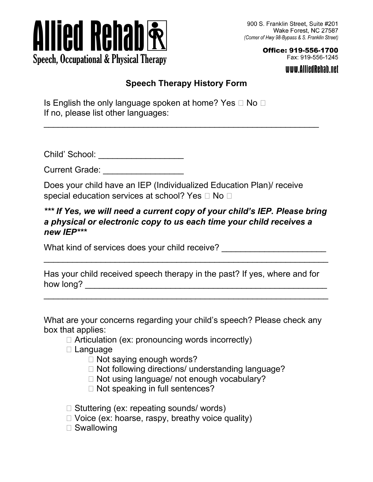

Office: 919-556-1700 Fax: 919-556-1245

www.AlliedRehab.net

## **Speech Therapy History Form**

\_\_\_\_\_\_\_\_\_\_\_\_\_\_\_\_\_\_\_\_\_\_\_\_\_\_\_\_\_\_\_\_\_\_\_\_\_\_\_\_\_\_\_\_\_\_\_\_\_\_\_\_\_\_\_\_\_\_

Is English the only language spoken at home? Yes  $\Box$  No  $\Box$ If no, please list other languages:

Child' School: \_\_\_\_\_\_\_\_\_\_\_\_\_\_\_\_\_\_

Current Grade: **Example 20** 

Does your child have an IEP (Individualized Education Plan)/ receive special education services at school? Yes  $\Box$  No  $\Box$ 

## *\*\*\* If Yes, we will need a current copy of your child's IEP. Please bring a physical or electronic copy to us each time your child receives a new IEP\*\*\**

What kind of services does your child receive?

Has your child received speech therapy in the past? If yes, where and for how long? \_\_\_\_\_\_\_\_\_\_\_\_\_\_\_\_\_\_\_\_\_\_\_\_\_\_\_\_\_\_\_\_\_\_\_\_\_\_\_\_\_\_\_\_\_\_\_\_\_\_\_

 $\overline{\phantom{a}}$  , and the contribution of the contribution of the contribution of the contribution of the contribution of the contribution of the contribution of the contribution of the contribution of the contribution of the

 $\overline{\phantom{a}}$  , and the contribution of the contribution of the contribution of the contribution of the contribution of the contribution of the contribution of the contribution of the contribution of the contribution of the

What are your concerns regarding your child's speech? Please check any box that applies:

- $\Box$  Articulation (ex: pronouncing words incorrectly)
- □ Language
	- $\Box$  Not saying enough words?
	- □ Not following directions/ understanding language?
	- □ Not using language/ not enough vocabulary?
	- $\Box$  Not speaking in full sentences?

 $\Box$  Stuttering (ex: repeating sounds/ words)

- $\Box$  Voice (ex: hoarse, raspy, breathy voice quality)
- □ Swallowing